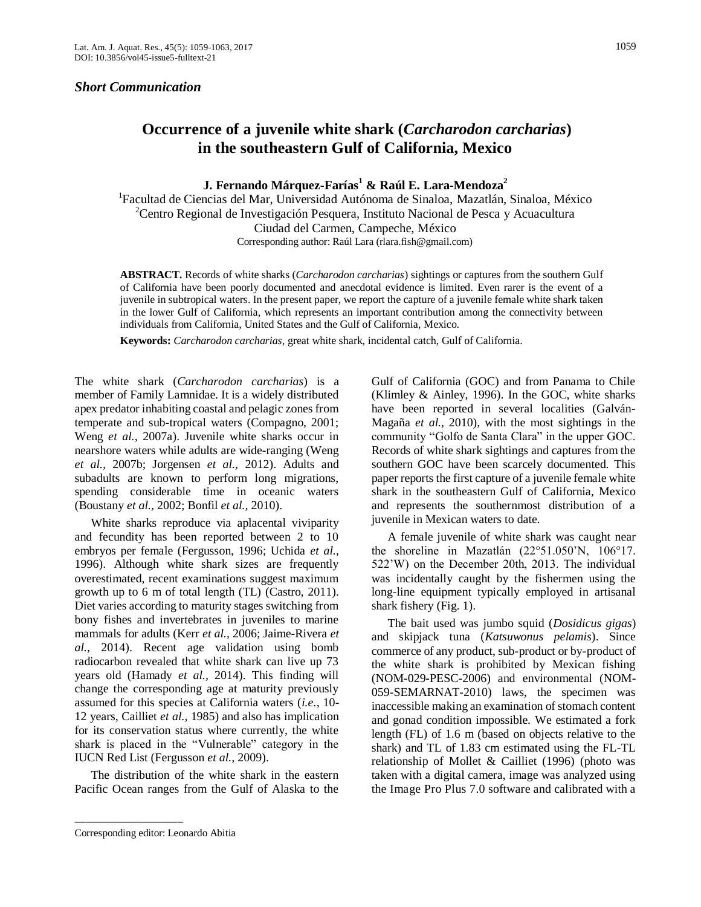## *Short Communication*

## **Occurrence of a juvenile white shark (***Carcharodon carcharias***) in the southeastern Gulf of California, Mexico**

**J. Fernando Márquez-Farías<sup>1</sup> & Raúl E. Lara-Mendoza<sup>2</sup>**

<sup>1</sup>Facultad de Ciencias del Mar, Universidad Autónoma de Sinaloa, Mazatlán, Sinaloa, México <sup>2</sup>Centro Regional de Investigación Pesquera, Instituto Nacional de Pesca y Acuacultura Ciudad del Carmen, Campeche, México Corresponding author: Raúl Lara (rlara.fish@gmail.com)

**ABSTRACT.** Records of white sharks (*Carcharodon carcharias*) sightings or captures from the southern Gulf of California have been poorly documented and anecdotal evidence is limited. Even rarer is the event of a juvenile in subtropical waters. In the present paper, we report the capture of a juvenile female white shark taken in the lower Gulf of California, which represents an important contribution among the connectivity between individuals from California, United States and the Gulf of California, Mexico.

**Keywords:** *Carcharodon carcharias*, great white shark, incidental catch, Gulf of California.

The white shark (*Carcharodon carcharias*) is a member of Family Lamnidae. It is a widely distributed apex predator inhabiting coastal and pelagic zones from temperate and sub-tropical waters (Compagno, 2001; Weng *et al.,* 2007a). Juvenile white sharks occur in nearshore waters while adults are wide-ranging (Weng *et al.,* 2007b; Jorgensen *et al.,* 2012). Adults and subadults are known to perform long migrations, spending considerable time in oceanic waters (Boustany *et al.,* 2002; Bonfil *et al.,* 2010).

White sharks reproduce via aplacental viviparity and fecundity has been reported between 2 to 10 embryos per female (Fergusson, 1996; Uchida *et al.,*  1996). Although white shark sizes are frequently overestimated, recent examinations suggest maximum growth up to 6 m of total length (TL) (Castro, 2011). Diet varies according to maturity stages switching from bony fishes and invertebrates in juveniles to marine mammals for adults (Kerr *et al.,* 2006; Jaime-Rivera *et al.,* 2014). Recent age validation using bomb radiocarbon revealed that white shark can live up 73 years old (Hamady *et al.,* 2014). This finding will change the corresponding age at maturity previously assumed for this species at California waters (*i.e.*, 10- 12 years, Cailliet *et al.,* 1985) and also has implication for its conservation status where currently, the white shark is placed in the "Vulnerable" category in the IUCN Red List (Fergusson *et al.,* 2009).

The distribution of the white shark in the eastern Pacific Ocean ranges from the Gulf of Alaska to the

\_\_\_\_\_\_\_\_\_\_\_\_\_\_\_\_\_\_\_

Gulf of California (GOC) and from Panama to Chile (Klimley & Ainley, 1996). In the GOC, white sharks have been reported in several localities (Galván-Magaña *et al.,* 2010), with the most sightings in the community "Golfo de Santa Clara" in the upper GOC. Records of white shark sightings and captures from the southern GOC have been scarcely documented. This paper reports the first capture of a juvenile female white shark in the southeastern Gulf of California, Mexico and represents the southernmost distribution of a juvenile in Mexican waters to date.

A female juvenile of white shark was caught near the shoreline in Mazatlán (22°51.050'N, 106°17. 522'W) on the December 20th, 2013. The individual was incidentally caught by the fishermen using the long-line equipment typically employed in artisanal shark fishery (Fig. 1).

The bait used was jumbo squid (*Dosidicus gigas*) and skipjack tuna (*Katsuwonus pelamis*). Since commerce of any product, sub-product or by-product of the white shark is prohibited by Mexican fishing (NOM-029-PESC-2006) and environmental (NOM-059-SEMARNAT-2010) laws, the specimen was inaccessible making an examination of stomach content and gonad condition impossible. We estimated a fork length (FL) of 1.6 m (based on objects relative to the shark) and TL of 1.83 cm estimated using the FL-TL relationship of Mollet & Cailliet (1996) (photo was taken with a digital camera, image was analyzed using the Image Pro Plus 7.0 software and calibrated with a

Corresponding editor: Leonardo Abitia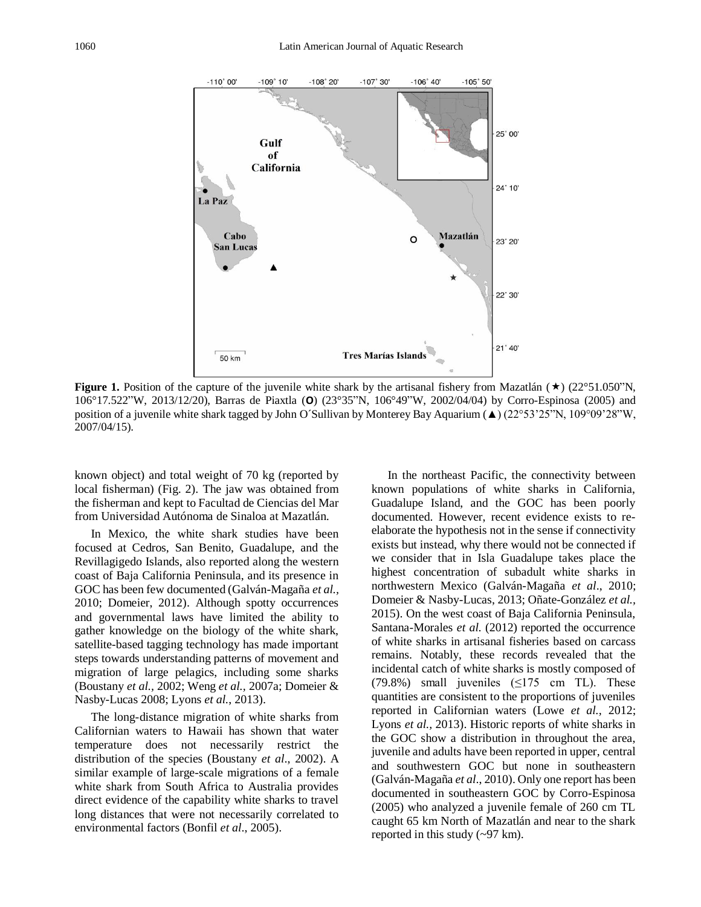

**Figure 1.** Position of the capture of the juvenile white shark by the artisanal fishery from Mazatlán ( $\star$ ) (22°51.050"N, 106°17.522"W, 2013/12/20), Barras de Piaxtla (**Ο**) (23°35"N, 106°49"W, 2002/04/04) by Corro-Espinosa (2005) and position of a juvenile white shark tagged by John O´Sullivan by Monterey Bay Aquarium (▲) (22°53'25"N, 109°09'28"W, 2007/04/15).

known object) and total weight of 70 kg (reported by local fisherman) (Fig. 2). The jaw was obtained from the fisherman and kept to Facultad de Ciencias del Mar from Universidad Autónoma de Sinaloa at Mazatlán.

In Mexico, the white shark studies have been focused at Cedros, San Benito, Guadalupe, and the Revillagigedo Islands, also reported along the western coast of Baja California Peninsula, and its presence in GOC has been few documented (Galván-Magaña *et al.,*  2010; Domeier, 2012). Although spotty occurrences and governmental laws have limited the ability to gather knowledge on the biology of the white shark, satellite-based tagging technology has made important steps towards understanding patterns of movement and migration of large pelagics, including some sharks (Boustany *et al.,* 2002; Weng *et al.,* 2007a; Domeier & Nasby-Lucas 2008; Lyons *et al.*, 2013).

The long-distance migration of white sharks from Californian waters to Hawaii has shown that water temperature does not necessarily restrict the distribution of the species (Boustany *et al*., 2002). A similar example of large-scale migrations of a female white shark from South Africa to Australia provides direct evidence of the capability white sharks to travel long distances that were not necessarily correlated to environmental factors (Bonfil *et al*., 2005).

In the northeast Pacific, the connectivity between known populations of white sharks in California, Guadalupe Island, and the GOC has been poorly documented. However, recent evidence exists to reelaborate the hypothesis not in the sense if connectivity exists but instead, why there would not be connected if we consider that in Isla Guadalupe takes place the highest concentration of subadult white sharks in northwestern Mexico (Galván-Magaña *et al*., 2010; Domeier & Nasby-Lucas, 2013; Oñate-González *et al.,*  2015). On the west coast of Baja California Peninsula, Santana-Morales *et al.* (2012) reported the occurrence of white sharks in artisanal fisheries based on carcass remains. Notably, these records revealed that the incidental catch of white sharks is mostly composed of  $(79.8\%)$  small juveniles  $(\leq 175 \text{ cm} \text{ TL})$ . These quantities are consistent to the proportions of juveniles reported in Californian waters (Lowe *et al.,* 2012; Lyons *et al.,* 2013). Historic reports of white sharks in the GOC show a distribution in throughout the area, juvenile and adults have been reported in upper, central and southwestern GOC but none in southeastern (Galván-Magaña *et al*., 2010). Only one report has been documented in southeastern GOC by Corro-Espinosa (2005) who analyzed a juvenile female of 260 cm TL caught 65 km North of Mazatlán and near to the shark reported in this study (~97 km).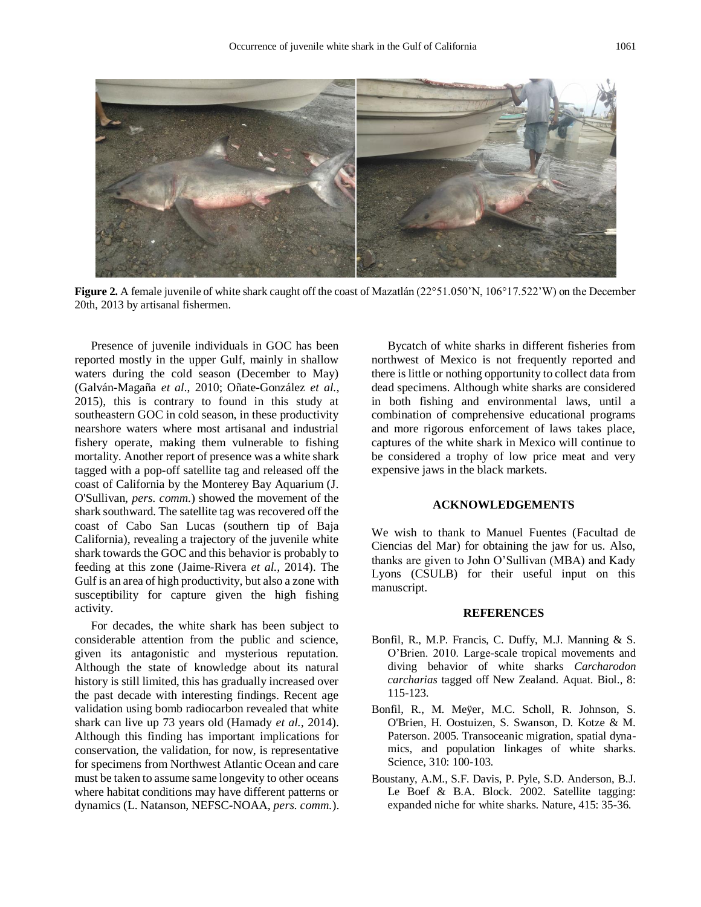

**Figure 2.** A female juvenile of white shark caught off the coast of Mazatlán (22°51.050'N, 106°17.522'W) on the December 20th, 2013 by artisanal fishermen.

Presence of juvenile individuals in GOC has been reported mostly in the upper Gulf, mainly in shallow waters during the cold season (December to May) (Galván-Magaña *et al*., 2010; Oñate-González *et al.,*  2015), this is contrary to found in this study at southeastern GOC in cold season, in these productivity nearshore waters where most artisanal and industrial fishery operate, making them vulnerable to fishing mortality. Another report of presence was a white shark tagged with a pop-off satellite tag and released off the coast of California by the Monterey Bay Aquarium (J. O'Sullivan, *pers. comm.*) showed the movement of the shark southward. The satellite tag was recovered off the coast of Cabo San Lucas (southern tip of Baja California), revealing a trajectory of the juvenile white shark towards the GOC and this behavior is probably to feeding at this zone (Jaime-Rivera *et al.,* 2014). The Gulf is an area of high productivity, but also a zone with susceptibility for capture given the high fishing activity.

For decades, the white shark has been subject to considerable attention from the public and science, given its antagonistic and mysterious reputation. Although the state of knowledge about its natural history is still limited, this has gradually increased over the past decade with interesting findings. Recent age validation using bomb radiocarbon revealed that white shark can live up 73 years old (Hamady *et al.,* 2014). Although this finding has important implications for conservation, the validation, for now, is representative for specimens from Northwest Atlantic Ocean and care must be taken to assume same longevity to other oceans where habitat conditions may have different patterns or dynamics (L. Natanson, NEFSC-NOAA, *pers. comm.*).

Bycatch of white sharks in different fisheries from northwest of Mexico is not frequently reported and there is little or nothing opportunity to collect data from dead specimens. Although white sharks are considered in both fishing and environmental laws, until a combination of comprehensive educational programs and more rigorous enforcement of laws takes place, captures of the white shark in Mexico will continue to be considered a trophy of low price meat and very expensive jaws in the black markets.

## **ACKNOWLEDGEMENTS**

We wish to thank to Manuel Fuentes (Facultad de Ciencias del Mar) for obtaining the jaw for us. Also, thanks are given to John O'Sullivan (MBA) and Kady Lyons (CSULB) for their useful input on this manuscript.

## **REFERENCES**

- Bonfil, R., M.P. Francis, C. Duffy, M.J. Manning & S. O'Brien. 2010. Large-scale tropical movements and diving behavior of white sharks *Carcharodon carcharias* tagged off New Zealand. Aquat. Biol., 8: 115-123.
- Bonfil, R., M. Meÿer, M.C. Scholl, R. Johnson, S. O'Brien, H. Oostuizen, S. Swanson, D. Kotze & M. Paterson. 2005. Transoceanic migration, spatial dynamics, and population linkages of white sharks. Science, 310: 100-103.
- Boustany, A.M., S.F. Davis, P. Pyle, S.D. Anderson, B.J. Le Boef & B.A. Block. 2002. Satellite tagging: expanded niche for white sharks. Nature, 415: 35-36.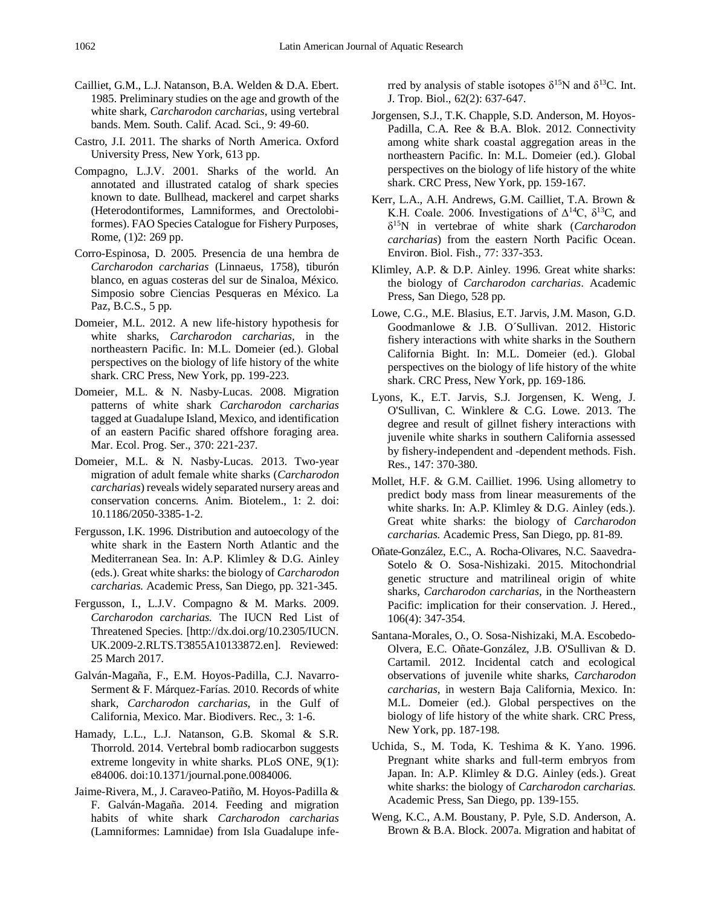- Cailliet, G.M., L.J. Natanson, B.A. Welden & D.A. Ebert. 1985. Preliminary studies on the age and growth of the white shark, *Carcharodon carcharias*, using vertebral bands. Mem. South. Calif. Acad. Sci., 9: 49-60.
- Castro, J.I. 2011. The sharks of North America. Oxford University Press, New York, 613 pp.
- Compagno, L.J.V. 2001. Sharks of the world. An annotated and illustrated catalog of shark species known to date. Bullhead, mackerel and carpet sharks (Heterodontiformes, Lamniformes, and Orectolobiformes). FAO Species Catalogue for Fishery Purposes, Rome, (1)2: 269 pp.
- Corro-Espinosa, D. 2005. Presencia de una hembra de *Carcharodon carcharias* (Linnaeus, 1758), tiburón blanco, en aguas costeras del sur de Sinaloa, México. Simposio sobre Ciencias Pesqueras en México. La Paz, B.C.S., 5 pp.
- Domeier, M.L. 2012. A new life-history hypothesis for white sharks, *Carcharodon carcharias,* in the northeastern Pacific. In: M.L. Domeier (ed.). Global perspectives on the biology of life history of the white shark. CRC Press, New York, pp. 199-223.
- Domeier, M.L. & N. Nasby-Lucas. 2008. Migration patterns of white shark *Carcharodon carcharias*  tagged at Guadalupe Island, Mexico, and identification of an eastern Pacific shared offshore foraging area. Mar. Ecol. Prog. Ser., 370: 221-237.
- Domeier, M.L. & N. Nasby-Lucas. 2013. Two-year migration of adult female white sharks (*Carcharodon carcharias*) reveals widely separated nursery areas and conservation concerns. Anim. Biotelem., 1: 2. doi: 10.1186/2050-3385-1-2.
- Fergusson, I.K. 1996. Distribution and autoecology of the white shark in the Eastern North Atlantic and the Mediterranean Sea. In: A.P. Klimley & D.G. Ainley (eds.). Great white sharks: the biology of *Carcharodon carcharias.* Academic Press, San Diego, pp. 321-345.
- Fergusson, I., L.J.V. Compagno & M. Marks. 2009. *Carcharodon carcharias.* The IUCN Red List of Threatened Species. [\[http://dx.doi.org/10.2305/IUCN.](http://dx.doi.org/10.2305/IUCN.%20UK.2009-2.RLTS.T3855A10133872.en)  [UK.2009-2.RLTS.T3855A10133872.en\]](http://dx.doi.org/10.2305/IUCN.%20UK.2009-2.RLTS.T3855A10133872.en). Reviewed: 25 March 2017.
- Galván-Magaña, F., E.M. Hoyos-Padilla, C.J. Navarro-Serment & F. Márquez-Farías. 2010. Records of white shark, *Carcharodon carcharias*, in the Gulf of California, Mexico. Mar. Biodivers. Rec., 3: 1-6.
- Hamady, L.L., L.J. Natanson, G.B. Skomal & S.R. Thorrold. 2014. Vertebral bomb radiocarbon suggests extreme longevity in white sharks. PLoS ONE, 9(1): e84006. doi:10.1371/journal.pone.0084006.
- Jaime-Rivera, M., J. Caraveo-Patiño, M. Hoyos-Padilla & F. Galván-Magaña. 2014. Feeding and migration habits of white shark *Carcharodon carcharias* (Lamniformes: Lamnidae) from Isla Guadalupe infe-

rred by analysis of stable isotopes  $\delta^{15}N$  and  $\delta^{13}C$ . Int. J. Trop. Biol., 62(2): 637-647.

- Jorgensen, S.J., T.K. Chapple, S.D. Anderson, M. Hoyos-Padilla, C.A. Ree & B.A. Blok. 2012. Connectivity among white shark coastal aggregation areas in the northeastern Pacific. In: M.L. Domeier (ed.). Global perspectives on the biology of life history of the white shark. CRC Press, New York, pp. 159-167.
- Kerr, L.A., A.H. Andrews, G.M. Cailliet, T.A. Brown & K.H. Coale. 2006. Investigations of  $\Delta^{14}C$ ,  $\delta^{13}C$ , and δ <sup>15</sup>N in vertebrae of white shark (*Carcharodon carcharias*) from the eastern North Pacific Ocean. Environ. Biol. Fish., 77: 337-353.
- Klimley, A.P. & D.P. Ainley. 1996. Great white sharks: the biology of *Carcharodon carcharias*. Academic Press, San Diego, 528 pp.
- Lowe, C.G., M.E. Blasius, E.T. Jarvis, J.M. Mason, G.D. Goodmanlowe & J.B. O´Sullivan. 2012. Historic fishery interactions with white sharks in the Southern California Bight. In: M.L. Domeier (ed.). Global perspectives on the biology of life history of the white shark. CRC Press, New York, pp. 169-186.
- Lyons, K., E.T. Jarvis, S.J. Jorgensen, K. Weng, J. O'Sullivan, C. Winklere & C.G. Lowe. 2013. The degree and result of gillnet fishery interactions with juvenile white sharks in southern California assessed by fishery-independent and -dependent methods. Fish. Res., 147: 370-380.
- Mollet, H.F. & G.M. Cailliet. 1996. Using allometry to predict body mass from linear measurements of the white sharks. In: A.P. Klimley & D.G. Ainley (eds.). Great white sharks: the biology of *Carcharodon carcharias.* Academic Press, San Diego, pp. 81-89.
- Oñate-González, E.C., A. Rocha-Olivares, N.C. Saavedra-Sotelo & O. Sosa-Nishizaki. 2015. Mitochondrial genetic structure and matrilineal origin of white sharks, *Carcharodon carcharias,* in the Northeastern Pacific: implication for their conservation. J. Hered., 106(4): 347-354.
- Santana-Morales, O., O. Sosa-Nishizaki, M.A. Escobedo-Olvera, E.C. Oñate-González, J.B. O'Sullivan & D. Cartamil. 2012. Incidental catch and ecological observations of juvenile white sharks, *Carcharodon carcharias*, in western Baja California, Mexico. In: M.L. Domeier (ed.). Global perspectives on the biology of life history of the white shark. CRC Press, New York, pp. 187-198.
- Uchida, S., M. Toda, K. Teshima & K. Yano. 1996. Pregnant white sharks and full-term embryos from Japan. In: A.P. Klimley & D.G. Ainley (eds.). Great white sharks: the biology of *Carcharodon carcharias.*  Academic Press, San Diego, pp. 139-155.
- Weng, K.C., A.M. Boustany, P. Pyle, S.D. Anderson, A. Brown & B.A. Block. 2007a. Migration and habitat of